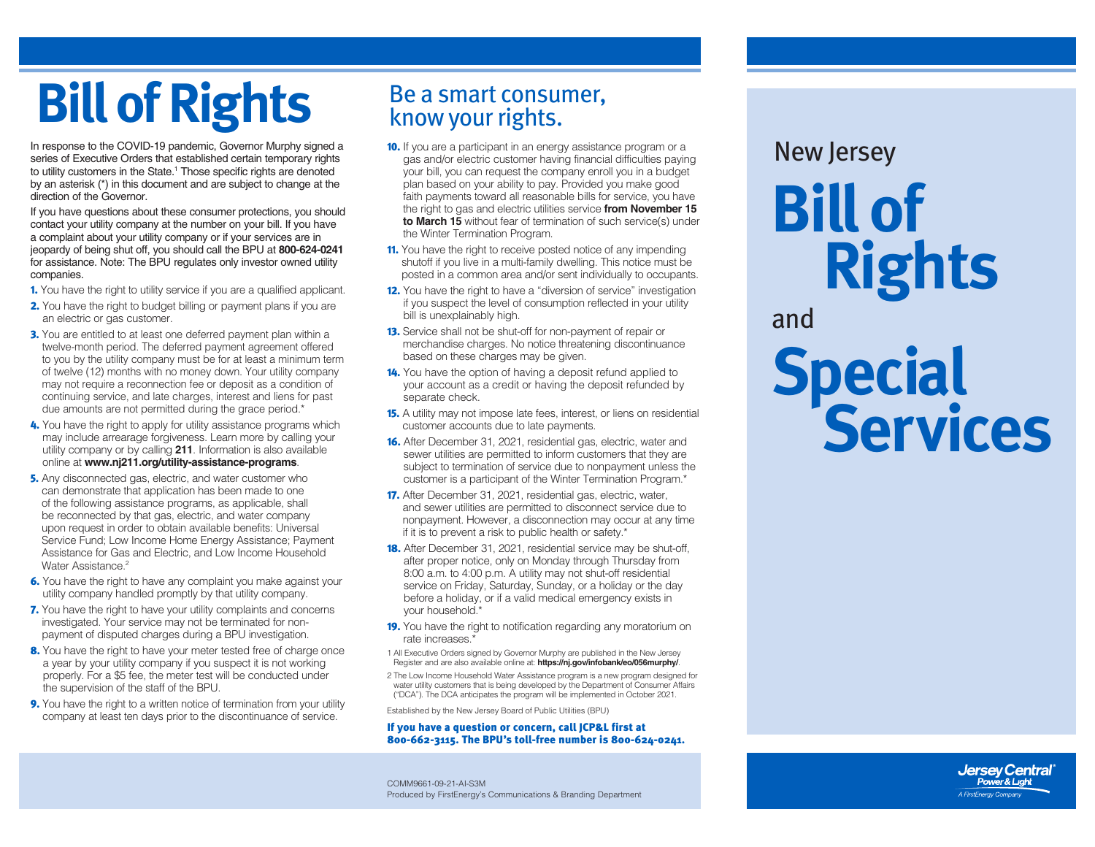# **Bill of Rights** Be a smart consumer,

In response to the COVID-19 pandemic, Governor Murphy signed a series of Executive Orders that established certain temporary rights to utility customers in the State.<sup>1</sup> Those specific rights are denoted by an asterisk (\*) in this document and are subject to change at the direction of the Governor.

If you have questions about these consumer protections, you should contact your utility company at the number on your bill. If you have a complaint about your utility company or if your services are in jeopardy of being shut off, you should call the BPU at **800-624-0241** for assistance. Note: The BPU regulates only investor owned utility companies.

- 1. You have the right to utility service if you are a qualified applicant.
- **2.** You have the right to budget billing or payment plans if you are an electric or gas customer.
- **3.** You are entitled to at least one deferred payment plan within a twelve-month period. The deferred payment agreement offered to you by the utility company must be for at least a minimum term of twelve (12) months with no money down. Your utility company may not require a reconnection fee or deposit as a condition of continuing service, and late charges, interest and liens for past due amounts are not permitted during the grace period.\*
- 4. You have the right to apply for utility assistance programs which may include arrearage forgiveness. Learn more by calling your utility company or by calling **211**. Information is also available online at **www[.nj211.org/utility-assistance-programs](https://nj211.org/utility-assistance-programs)**.
- **5.** Any disconnected gas, electric, and water customer who can demonstrate that application has been made to one of the following assistance programs, as applicable, shall be reconnected by that gas, electric, and water company upon request in order to obtain available benefits: Universal Service Fund; Low Income Home Energy Assistance; Payment Assistance for Gas and Electric, and Low Income Household Water Assistance<sup>2</sup>
- 6. You have the right to have any complaint you make against your utility company handled promptly by that utility company.
- 7. You have the right to have your utility complaints and concerns investigated. Your service may not be terminated for nonpayment of disputed charges during a BPU investigation.
- 8. You have the right to have your meter tested free of charge once a year by your utility company if you suspect it is not working properly. For a \$5 fee, the meter test will be conducted under the supervision of the staff of the BPU.
- 9. You have the right to a written notice of termination from your utility company at least ten days prior to the discontinuance of service.

- **10.** If you are a participant in an energy assistance program or a gas and/or electric customer having financial difficulties paying your bill, you can request the company enroll you in a budget plan based on your ability to pay. Provided you make good faith payments toward all reasonable bills for service, you have the right to gas and electric utilities service **from November 15 to March 15** without fear of termination of such service(s) under the Winter Termination Program.
- **11.** You have the right to receive posted notice of any impending shutoff if you live in a multi-family dwelling. This notice must be posted in a common area and/or sent individually to occupants.
- 12. You have the right to have a "diversion of service" investigation if you suspect the level of consumption reflected in your utility bill is unexplainably high.
- 13. Service shall not be shut-off for non-payment of repair or merchandise charges. No notice threatening discontinuance based on these charges may be given.
- 14. You have the option of having a deposit refund applied to your account as a credit or having the deposit refunded by separate check.
- **15.** A utility may not impose late fees, interest, or liens on residential customer accounts due to late payments.
- 16. After December 31, 2021, residential gas, electric, water and sewer utilities are permitted to inform customers that they are subject to termination of service due to nonpayment unless the customer is a participant of the Winter Termination Program.\*
- 17. After December 31, 2021, residential gas, electric, water, and sewer utilities are permitted to disconnect service due to nonpayment. However, a disconnection may occur at any time if it is to prevent a risk to public health or safety.\*
- 18. After December 31, 2021, residential service may be shut-off, after proper notice, only on Monday through Thursday from 8:00 a.m. to 4:00 p.m. A utility may not shut-off residential service on Friday, Saturday, Sunday, or a holiday or the day before a holiday, or if a valid medical emergency exists in your household.\*
- 19. You have the right to notification regarding any moratorium on rate increases.'
- 1 All Executive Orders signed by Governor Murphy are published in the New Jersey Register and are also available online at: **https://nj.gov/infobank/eo/056murphy/**.
- 2 The Low Income Household Water Assistance program is a new program designed for water utility customers that is being developed by the Department of Consumer Affairs ("DCA"). The DCA anticipates the program will be implemented in October 2021.

Established by the New Jersey Board of Public Utilities (BPU)

#### If you have a question or concern, call JCP&L first at 800-662-3115. The BPU's toll-free number is 800-624-0241.

COMM9661-09-21-AI-S3M Produced by FirstEnergy's Communications & Branding Department

## **Bill of Rights** New Jersey

and

**Special Services**

> **Jersey Central** Power & Light A FirstEnergy Company